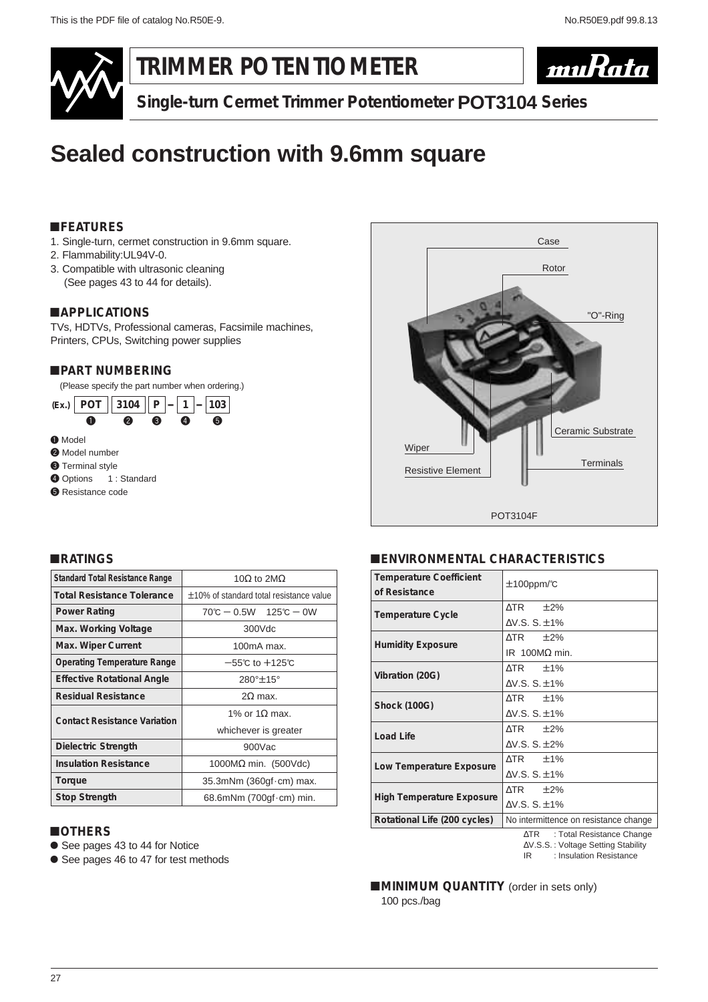

**TRIMMER POTENTIOMETER**



**Single-turn Cermet Trimmer Potentiometer POT3104 Series**

# **Sealed construction with 9.6mm square**

## !**FEATURES**

- 1. Single-turn, cermet construction in 9.6mm square.
- 2. Flammability:UL94V-0.
- 3. Compatible with ultrasonic cleaning (See pages 43 to 44 for details).

## !**APPLICATIONS**

TVs, HDTVs, Professional cameras, Facsimile machines, Printers, CPUs, Switching power supplies

## !**PART NUMBERING**

(Please specify the part number when ordering.)





## !**ENVIRONMENTAL CHARACTERISTICS**

| <b>Temperature Coefficient</b>   | $±100$ ppm/ $°C$                      |  |  |
|----------------------------------|---------------------------------------|--|--|
| of Resistance                    |                                       |  |  |
| <b>Temperature Cycle</b>         | $\triangle$ TR $\pm$ 2%               |  |  |
|                                  | $AV.S. S. \pm 1\%$                    |  |  |
| <b>Humidity Exposure</b>         | $\triangle$ TR $\pm$ 2%               |  |  |
|                                  | IR 100M $\Omega$ min.                 |  |  |
| Vibration (20G)                  | $\triangle$ TR $\pm$ 1%               |  |  |
|                                  | $AV.S. S. \pm 1\%$                    |  |  |
| <b>Shock (100G)</b>              | $\triangle$ TR $\pm$ 1%               |  |  |
|                                  | $AV.S. S. \pm 1\%$                    |  |  |
| Load Life                        | $\triangle$ TR $\pm$ 2%               |  |  |
|                                  | $AV.S. S. \pm 2\%$                    |  |  |
| Low Temperature Exposure         | $\triangle$ TR $\pm$ 1%               |  |  |
|                                  | $AV.S. S. \pm 1\%$                    |  |  |
| <b>High Temperature Exposure</b> | $\triangle$ TR $\pm$ 2%               |  |  |
|                                  | $AV.S. S. \pm 1\%$                    |  |  |
| Rotational Life (200 cycles)     | No intermittence on resistance change |  |  |
|                                  |                                       |  |  |

∆TR : Total Resistance Change ∆V.S.S. : Voltage Setting Stability

IR : Insulation Resistance

**MINIMUM QUANTITY** (order in sets only) 100 pcs./bag

## !**RATINGS**

| <b>Standard Total Resistance Range</b> | 10 $\Omega$ to 2M $\Omega$                   |  |  |  |
|----------------------------------------|----------------------------------------------|--|--|--|
| <b>Total Resistance Tolerance</b>      | $\pm$ 10% of standard total resistance value |  |  |  |
| <b>Power Rating</b>                    | $70^{\circ}$ C – 0.5W 125 $^{\circ}$ C – 0W  |  |  |  |
| Max. Working Voltage                   | 300Vdc                                       |  |  |  |
| Max. Wiper Current                     | $100mA$ max.                                 |  |  |  |
| <b>Operating Temperature Range</b>     | $-55^{\circ}$ C to $+125^{\circ}$ C          |  |  |  |
| <b>Effective Rotational Angle</b>      | 280°±15°                                     |  |  |  |
| <b>Residual Resistance</b>             | $2\Omega$ max.                               |  |  |  |
| <b>Contact Resistance Variation</b>    | 1% or 1.0 max.                               |  |  |  |
|                                        | whichever is greater                         |  |  |  |
| Dielectric Strength                    | 900Vac                                       |  |  |  |
| <b>Insulation Resistance</b>           | 1000 $M\Omega$ min. (500Vdc)                 |  |  |  |
| Torque                                 | 35.3mNm (360gf cm) max.                      |  |  |  |
| <b>Stop Strength</b>                   | 68.6mNm $(700gf \cdot cm)$ min.              |  |  |  |

#### !**OTHERS**

- See pages 43 to 44 for Notice
- See pages 46 to 47 for test methods